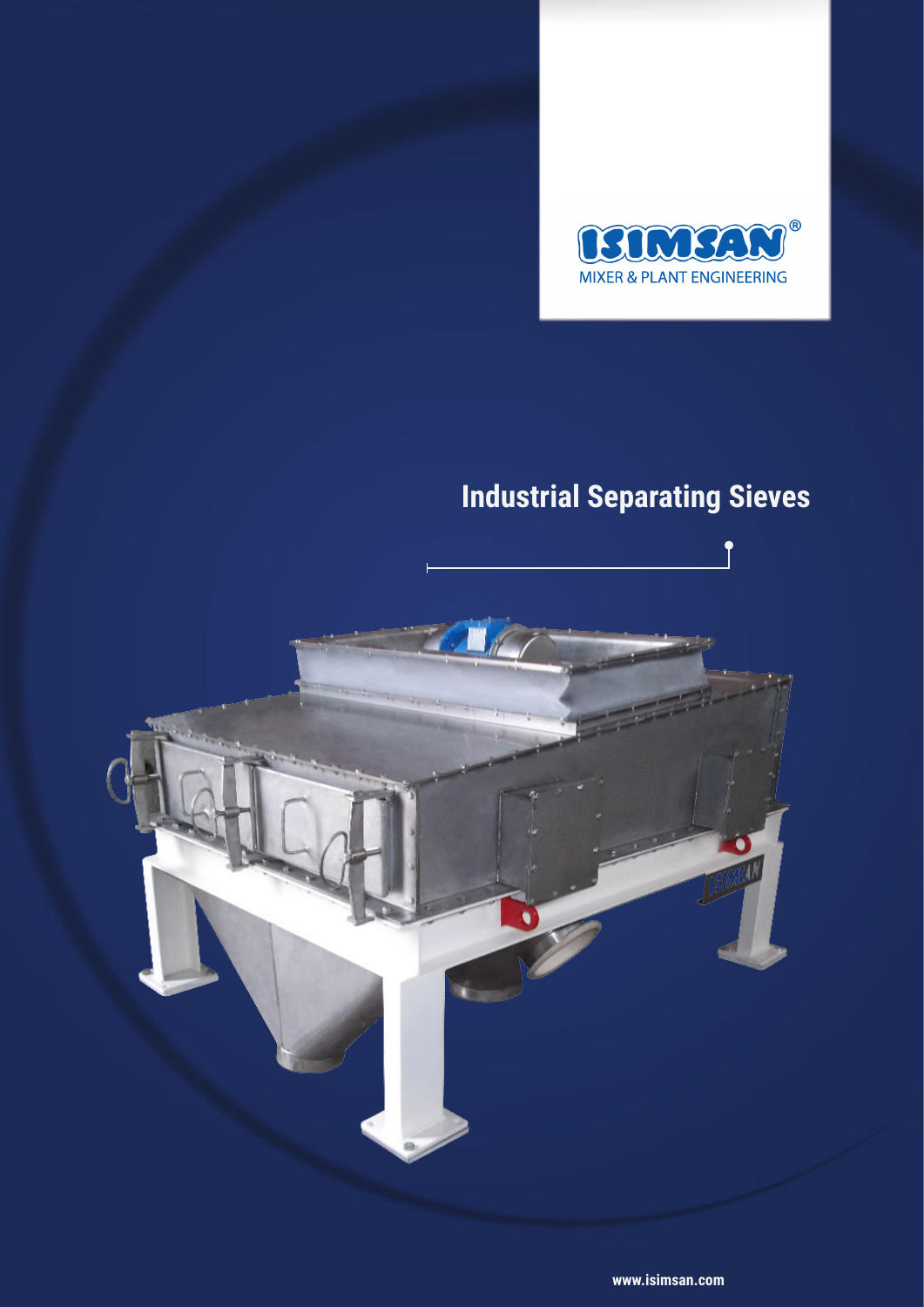

# **Industrial Separating Sieves**

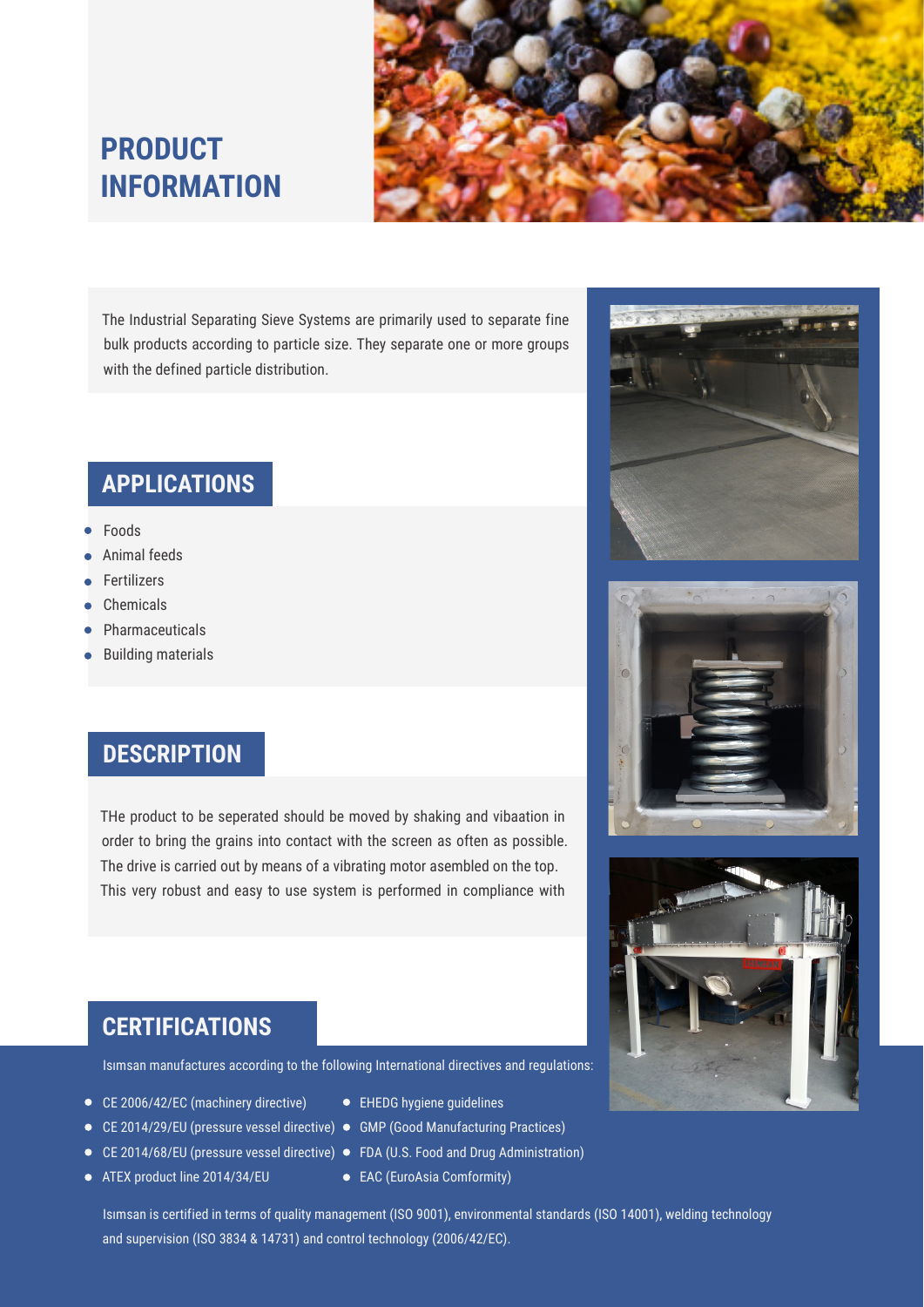



The Industrial Separating Sieve Systems are primarily used to separate fine bulk products according to particle size. They separate one or more groups with the defined particle distribution.

#### **APPLICATIONS**

- Foods
- Animal feeds
- Fertilizers
- Chemicals
- Pharmaceuticals
- Building materials

#### **DESCRIPTION**

THe product to be seperated should be moved by shaking and vibaation in order to bring the grains into contact with the screen as often as possible. The drive is carried out by means of a vibrating motor asembled on the top. This very robust and easy to use system is performed in compliance with







### **CERTIFICATIONS**

Isımsan manufactures according to the following International directives and regulations:

- CE 2006/42/EC (machinery directive)
- CE 2014/29/EU (pressure vessel directive) GMP (Good Manufacturing Practices)
- 
- ATEX product line 2014/34/EU
- EHEDG hygiene guidelines
- 
- CE 2014/68/EU (pressure vessel directive) FDA (U.S. Food and Drug Administration)
	- EAC (EuroAsia Comformity)

Isımsan is certified in terms of quality management (ISO 9001), environmental standards (ISO 14001), welding technology and supervision (ISO 3834 & 14731) and control technology (2006/42/EC).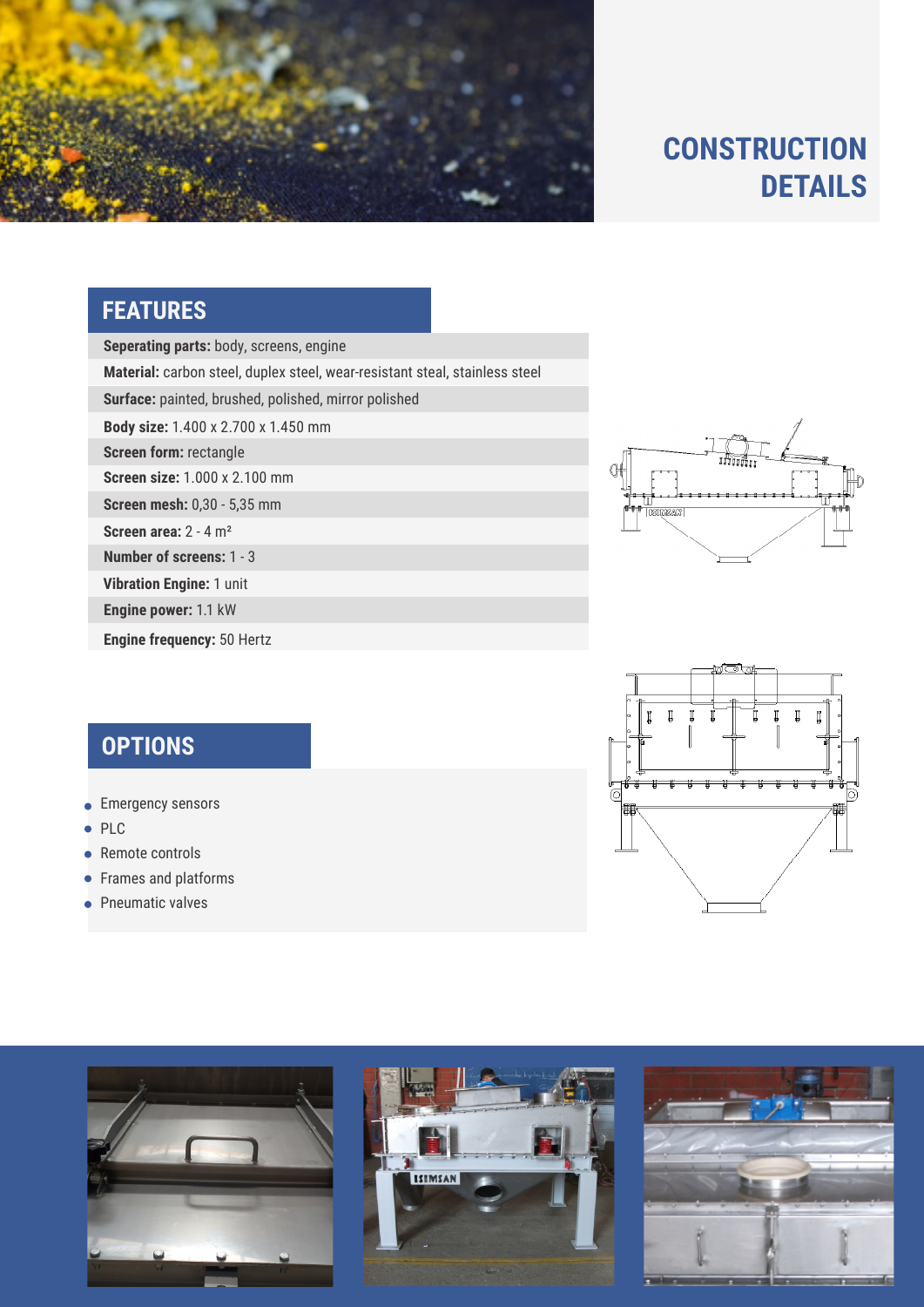

# **CONSTRUCTION DETAILS**

## **FEATURES**

**Seperating parts:** body, screens, engine

**Material:** carbon steel, duplex steel, wear-resistant steal, stainless steel

Surface: painted, brushed, polished, mirror polished

**Body size:** 1.400 x 2.700 x 1.450 mm

**Screen form:** rectangle

**Screen size:** 1.000 x 2.100 mm

**Screen mesh:** 0,30 - 5,35 mm

**Screen area:** 2 - 4 m²

**Number of screens:** 1 - 3

**Vibration Engine:** 1 unit

**Engine power:** 1.1 kW

**Engine frequency:** 50 Hertz



- **Emergency sensors**
- $\bullet$  PLC
- Remote controls
- **•** Frames and platforms
- Pneumatic valves







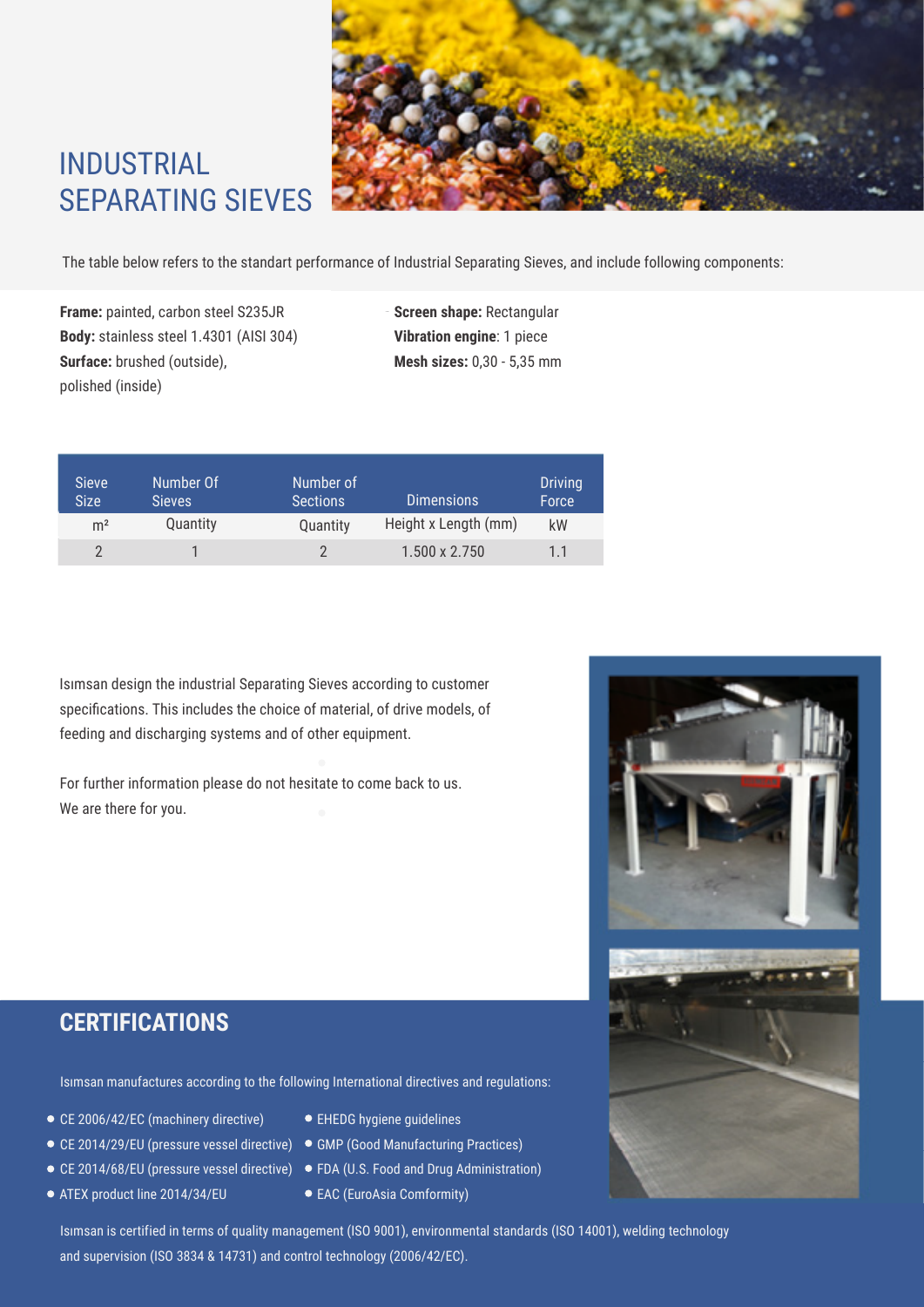

# INDUSTRIAL SEPARATING SIEVES

The table below refers to the standart performance of Industrial Separating Sieves, and include following components:

**Frame:** painted, carbon steel S235JR **Screen shape:** Rectangular **Body:** stainless steel 1.4301 (AISI 304) **Vibration engine**: 1 piece **Surface:** brushed (outside), **Mesh sizes:** 0,30 - 5,35 mm polished (inside)

| <b>Sieve</b><br><b>Size</b> | Number Of<br><b>Sieves</b> | Number of<br><b>Sections</b> | <b>Dimensions</b>    | <b>Driving</b><br>Force |
|-----------------------------|----------------------------|------------------------------|----------------------|-------------------------|
| m <sup>2</sup>              | Quantity                   | Quantity                     | Height x Length (mm) | kW                      |
|                             |                            |                              | 1.500 x 2.750        | 11                      |

Isımsan design the industrial Separating Sieves according to customer specifications. This includes the choice of material, of drive models, of feeding and discharging systems and of other equipment.

For further information please do not hesitate to come back to us. We are there for you.



### **CERTIFICATIONS**

Isımsan manufactures according to the following International directives and regulations:

- CE 2006/42/EC (machinery directive)
- CE 2014/29/EU (pressure vessel directive) GMP (Good Manufacturing Practices)
- 
- ATEX product line 2014/34/EU
- 
- EHEDG hygiene guidelines
- 
- CE 2014/68/EU (pressure vessel directive) FDA (U.S. Food and Drug Administration)
	- EAC (EuroAsia Comformity)

Isımsan is certified in terms of quality management (ISO 9001), environmental standards (ISO 14001), welding technology and supervision (ISO 3834 & 14731) and control technology (2006/42/EC).